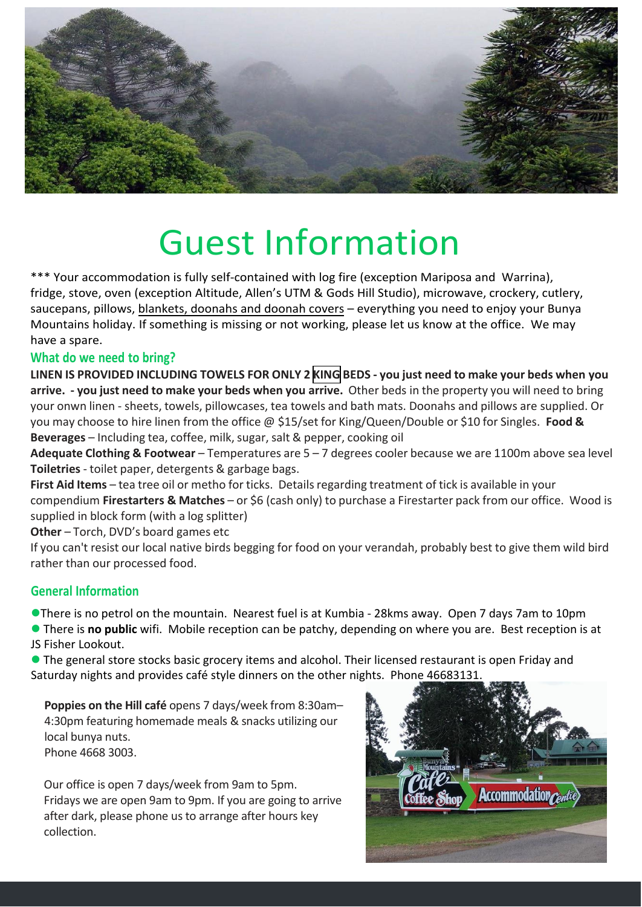

# Guest Information

\*\*\* Your accommodation is fully self-contained with log fire (exception Mariposa and Warrina), fridge, stove, oven (exception Altitude, Allen's UTM & Gods Hill Studio), microwave, crockery, cutlery, saucepans, pillows, blankets, doonahs and doonah covers – everything you need to enjoy your Bunya Mountains holiday. If something is missing or not working, please let us know at the office. We may have a spare.

# **What do we need to bring?**

**LINEN IS PROVIDED INCLUDING TOWELS FOR ONLY 2 KING BEDS - you just need to make your beds when you arrive. - you just need to make your beds when you arrive.** Other beds in the property you will need to bring your onwn linen - sheets, towels, pillowcases, tea towels and bath mats. Doonahs and pillows are supplied. Or you may choose to hire linen from the office @ \$15/set for King/Queen/Double or \$10 for Singles. **Food & Beverages** – Including tea, coffee, milk, sugar, salt & pepper, cooking oil

**Adequate Clothing & Footwear** – Temperatures are 5 – 7 degrees cooler because we are 1100m above sea level **Toiletries**- toilet paper, detergents & garbage bags.

**First Aid Items** – tea tree oil or metho for ticks. Details regarding treatment of tick is available in your compendium **Firestarters & Matches** – or \$6 (cash only) to purchase a Firestarter pack from our office. Wood is supplied in block form (with a log splitter)

**Other** – Torch, DVD's board games etc

If you can't resist our local native birds begging for food on your verandah, probably best to give them wild bird rather than our processed food.

# **General Information**

There is no petrol on the mountain. Nearest fuel is at Kumbia - 28kms away. Open 7 days 7am to 10pm

 There is **no public** wifi. Mobile reception can be patchy, depending on where you are. Best reception is at JS Fisher Lookout.

 The general store stocks basic grocery items and alcohol. Their licensed restaurant is open Friday and Saturday nights and provides café style dinners on the other nights. Phone 4668313:

**Poppies on the Hill café** opens 7 days/week from 8:30am– 4:30pm featuring homemade meals & snacks utilizing our local bunya nuts. Phone 4668 3003.

Our office is open 7 days/week from 9am to 5pm. Fridays we are open 9am to 9pm. If you are going to arrive after dark, please phone us to arrange after hours key collection.